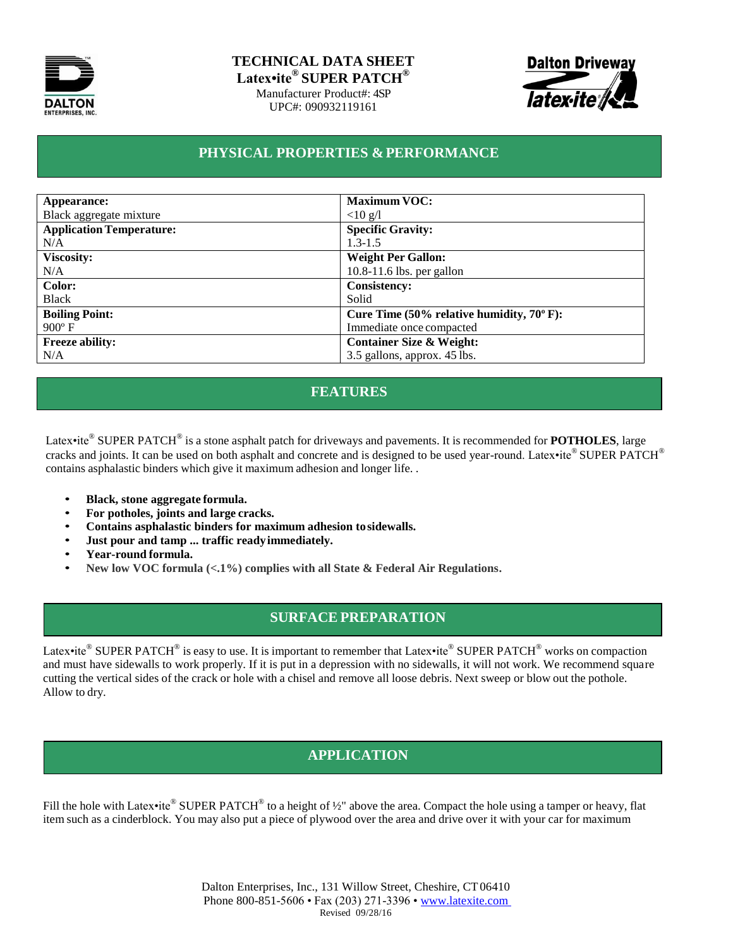

#### **TECHNICAL DATA SHEET Latex•ite® SUPER PATCH®**

Manufacturer Product#: 4SP UPC#: 090932119161



#### **PHYSICAL PROPERTIES & PERFORMANCE**

| Appearance:                     | <b>Maximum VOC:</b>                                   |
|---------------------------------|-------------------------------------------------------|
| Black aggregate mixture         | $<$ 10 g/l                                            |
| <b>Application Temperature:</b> | <b>Specific Gravity:</b>                              |
| N/A                             | $1.3 - 1.5$                                           |
| <b>Viscosity:</b>               | <b>Weight Per Gallon:</b>                             |
| N/A                             | $10.8-11.6$ lbs. per gallon                           |
| Color:                          | <b>Consistency:</b>                                   |
| <b>Black</b>                    | Solid                                                 |
| <b>Boiling Point:</b>           | Cure Time $(50\%$ relative humidity, $70^{\circ}$ F): |
| $900^{\circ}$ F                 | Immediate once compacted                              |
| <b>Freeze ability:</b>          | <b>Container Size &amp; Weight:</b>                   |
| N/A                             | 3.5 gallons, approx. 45 lbs.                          |

## **FEATURES**

Latex•ite® SUPER PATCH® is a stone asphalt patch for driveways and pavements. It is recommended for POTHOLES, large cracks and joints. It can be used on both asphalt and concrete and is designed to be used year-round. Latex•ite® SUPER PATCH® contains asphalastic binders which give it maximum adhesion and longer life. .

- **Black, stone aggregate formula.**
- **For potholes, joints and large cracks.**
- **Contains asphalastic binders for maximum adhesion tosidewalls.**
- **Just pour and tamp ... traffic readyimmediately.**
- **Year-round formula.**
- **New low VOC formula (<.1%) complies with all State & Federal Air Regulations.**

## **SURFACE PREPARATION**

Latex•ite® SUPER PATCH® is easy to use. It is important to remember that Latex•ite® SUPER PATCH® works on compaction and must have sidewalls to work properly. If it is put in a depression with no sidewalls, it will not work. We recommend square cutting the vertical sides of the crack or hole with a chisel and remove all loose debris. Next sweep or blow out the pothole. Allow to dry.

# **APPLICATION**

Fill the hole with Latex•ite® SUPER PATCH® to a height of 1/2" above the area. Compact the hole using a tamper or heavy, flat item such as a cinderblock. You may also put a piece of plywood over the area and drive over it with your car for maximum